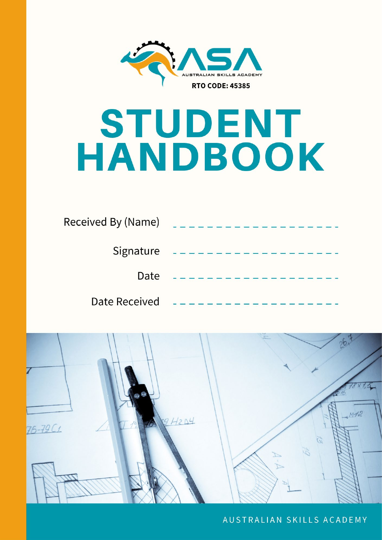

# STUDENT HANDBOOK

| Received By (Name) |  |
|--------------------|--|
| Signature          |  |
| Date               |  |
| Date Received      |  |



AUSTRALIAN SKILLS ACADEMY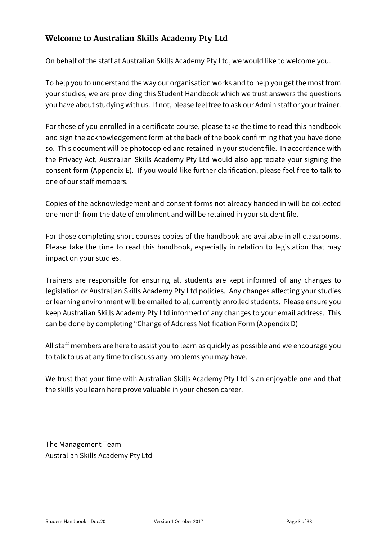## **Welcome to Australian Skills Academy Pty Ltd**

On behalf of the staff at Australian Skills Academy Pty Ltd, we would like to welcome you.

To help you to understand the way our organisation works and to help you get the most from your studies, we are providing this Student Handbook which we trust answers the questions you have about studying with us. If not, please feel free to ask our Admin staff or your trainer.

For those of you enrolled in a certificate course, please take the time to read this handbook and sign the acknowledgement form at the back of the book confirming that you have done so. This document will be photocopied and retained in your student file. In accordance with the Privacy Act, Australian Skills Academy Pty Ltd would also appreciate your signing the consent form (Appendix E). If you would like further clarification, please feel free to talk to one of our staff members.

Copies of the acknowledgement and consent forms not already handed in will be collected one month from the date of enrolment and will be retained in your student file.

For those completing short courses copies of the handbook are available in all classrooms. Please take the time to read this handbook, especially in relation to legislation that may impact on your studies.

Trainers are responsible for ensuring all students are kept informed of any changes to legislation or Australian Skills Academy Pty Ltd policies. Any changes affecting your studies or learning environment will be emailed to all currently enrolled students. Please ensure you keep Australian Skills Academy Pty Ltd informed of any changes to your email address. This can be done by completing "Change of Address Notification Form (Appendix D)

All staff members are here to assist you to learn as quickly as possible and we encourage you to talk to us at any time to discuss any problems you may have.

We trust that your time with Australian Skills Academy Pty Ltd is an enjoyable one and that the skills you learn here prove valuable in your chosen career.

The Management Team Australian Skills Academy Pty Ltd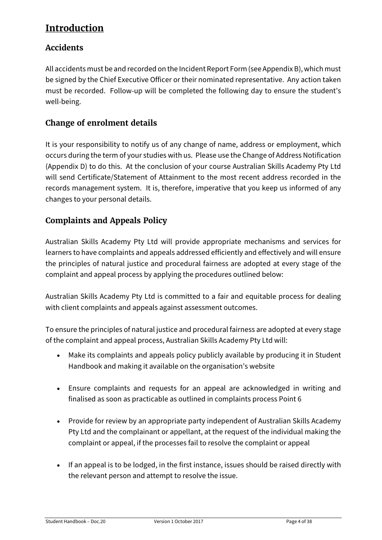# <span id="page-3-0"></span>**Introduction**

## <span id="page-3-1"></span>**Accidents**

All accidents must be and recorded on the Incident Report Form (see Appendix B), which must be signed by the Chief Executive Officer or their nominated representative. Any action taken must be recorded. Follow-up will be completed the following day to ensure the student's well-being.

## <span id="page-3-2"></span>**Change of enrolment details**

It is your responsibility to notify us of any change of name, address or employment, which occurs during the term of your studies with us. Please use the Change of Address Notification (Appendix D) to do this. At the conclusion of your course Australian Skills Academy Pty Ltd will send Certificate/Statement of Attainment to the most recent address recorded in the records management system. It is, therefore, imperative that you keep us informed of any changes to your personal details.

## <span id="page-3-3"></span>**Complaints and Appeals Policy**

Australian Skills Academy Pty Ltd will provide appropriate mechanisms and services for learners to have complaints and appeals addressed efficiently and effectively and will ensure the principles of natural justice and procedural fairness are adopted at every stage of the complaint and appeal process by applying the procedures outlined below:

Australian Skills Academy Pty Ltd is committed to a fair and equitable process for dealing with client complaints and appeals against assessment outcomes.

To ensure the principles of natural justice and procedural fairness are adopted at every stage of the complaint and appeal process, Australian Skills Academy Pty Ltd will:

- Make its complaints and appeals policy publicly available by producing it in Student Handbook and making it available on the organisation's website
- Ensure complaints and requests for an appeal are acknowledged in writing and finalised as soon as practicable as outlined in complaints process Point 6
- Provide for review by an appropriate party independent of Australian Skills Academy Pty Ltd and the complainant or appellant, at the request of the individual making the complaint or appeal, if the processes fail to resolve the complaint or appeal
- If an appeal is to be lodged, in the first instance, issues should be raised directly with the relevant person and attempt to resolve the issue.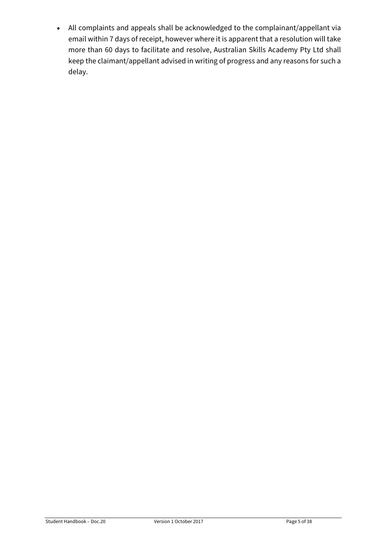• All complaints and appeals shall be acknowledged to the complainant/appellant via email within 7 days of receipt, however where it is apparent that a resolution will take more than 60 days to facilitate and resolve, Australian Skills Academy Pty Ltd shall keep the claimant/appellant advised in writing of progress and any reasons for such a delay.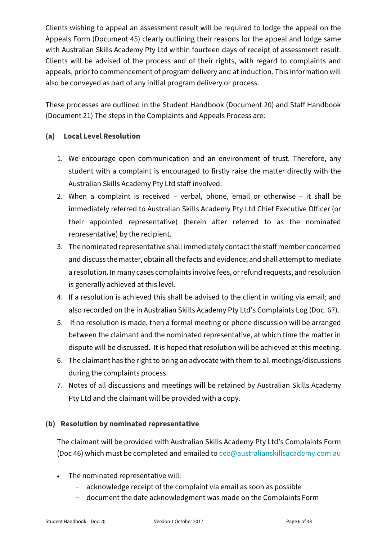Clients wishing to appeal an assessment result will be required to lodge the appeal on the Appeals Form (Document 45) clearly outlining their reasons for the appeal and lodge same with Australian Skills Academy Pty Ltd within fourteen days of receipt of assessment result. Clients will be advised of the process and of their rights, with regard to complaints and appeals, prior to commencement of program delivery and at induction. This information will also be conveyed as part of any initial program delivery or process.

These processes are outlined in the Student Handbook (Document 20) and Staff Handbook (Document 21) The steps in the Complaints and Appeals Process are:

#### **(a) Local Level Resolution**

- 1. We encourage open communication and an environment of trust. Therefore, any student with a complaint is encouraged to firstly raise the matter directly with the Australian Skills Academy Pty Ltd staff involved.
- 2. When a complaint is received verbal, phone, email or otherwise it shall be immediately referred to Australian Skills Academy Pty Ltd Chief Executive Officer (or their appointed representative) (herein after referred to as the nominated representative) by the recipient.
- 3. The nominated representative shall immediately contact the staff member concerned and discuss the matter, obtain all the facts and evidence; and shall attempt to mediate a resolution. In many cases complaints involve fees, or refund requests, and resolution is generally achieved at this level.
- 4. If a resolution is achieved this shall be advised to the client in writing via email; and also recorded on the in Australian Skills Academy Pty Ltd's Complaints Log (Doc. 67).
- 5. If no resolution is made, then a formal meeting or phone discussion will be arranged between the claimant and the nominated representative, at which time the matter in dispute will be discussed. It is hoped that resolution will be achieved at this meeting.
- 6. The claimant has the right to bring an advocate with them to all meetings/discussions during the complaints process.
- 7. Notes of all discussions and meetings will be retained by Australian Skills Academy Pty Ltd and the claimant will be provided with a copy.

#### **(b) Resolution by nominated representative**

The claimant will be provided with Australian Skills Academy Pty Ltd's Complaints Form (Doc 46) which must be completed and emailed t[o ceo@australianskillsacademy.com.au](mailto:ceo@australianskillsacademy.com.au)

- The nominated representative will:
	- acknowledge receipt of the complaint via email as soon as possible
	- document the date acknowledgment was made on the Complaints Form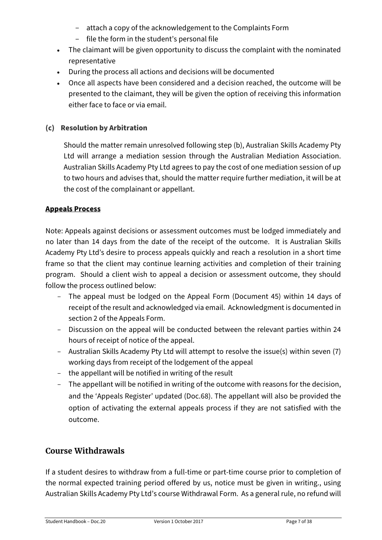- attach a copy of the acknowledgement to the Complaints Form
- file the form in the student's personal file
- The claimant will be given opportunity to discuss the complaint with the nominated representative
- During the process all actions and decisions will be documented
- Once all aspects have been considered and a decision reached, the outcome will be presented to the claimant, they will be given the option of receiving this information either face to face or via email.

#### **(c) Resolution by Arbitration**

Should the matter remain unresolved following step (b), Australian Skills Academy Pty Ltd will arrange a mediation session through the Australian Mediation Association. Australian Skills Academy Pty Ltd agrees to pay the cost of one mediation session of up to two hours and advises that, should the matter require further mediation, it will be at the cost of the complainant or appellant.

#### **Appeals Process**

Note: Appeals against decisions or assessment outcomes must be lodged immediately and no later than 14 days from the date of the receipt of the outcome. It is Australian Skills Academy Pty Ltd's desire to process appeals quickly and reach a resolution in a short time frame so that the client may continue learning activities and completion of their training program. Should a client wish to appeal a decision or assessment outcome, they should follow the process outlined below:

- The appeal must be lodged on the Appeal Form (Document 45) within 14 days of receipt of the result and acknowledged via email. Acknowledgment is documented in section 2 of the Appeals Form.
- Discussion on the appeal will be conducted between the relevant parties within 24 hours of receipt of notice of the appeal.
- Australian Skills Academy Pty Ltd will attempt to resolve the issue(s) within seven (7) working days from receipt of the lodgement of the appeal
- the appellant will be notified in writing of the result
- The appellant will be notified in writing of the outcome with reasons for the decision, and the 'Appeals Register' updated (Doc.68). The appellant will also be provided the option of activating the external appeals process if they are not satisfied with the outcome.

## <span id="page-6-0"></span>**Course Withdrawals**

If a student desires to withdraw from a full-time or part-time course prior to completion of the normal expected training period offered by us, notice must be given in writing., using Australian Skills Academy Pty Ltd's course Withdrawal Form. As a general rule, no refund will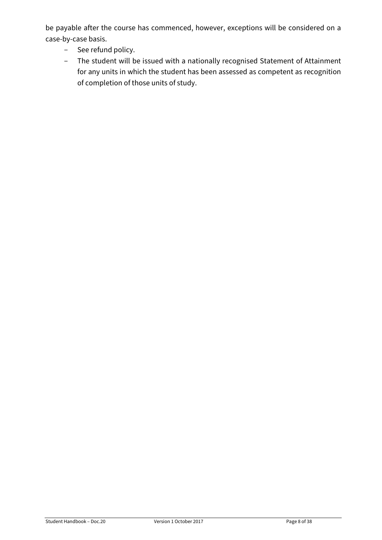be payable after the course has commenced, however, exceptions will be considered on a case-by-case basis.

- See refund policy.
- The student will be issued with a nationally recognised Statement of Attainment for any units in which the student has been assessed as competent as recognition of completion of those units of study.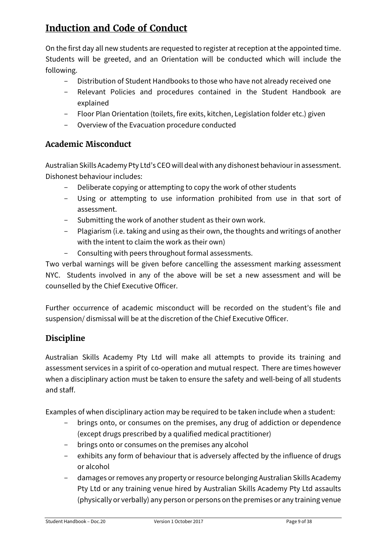# <span id="page-8-0"></span>**Induction and Code of Conduct**

On the first day all new students are requested to register at reception at the appointed time. Students will be greeted, and an Orientation will be conducted which will include the following.

- Distribution of Student Handbooks to those who have not already received one
- Relevant Policies and procedures contained in the Student Handbook are explained
- Floor Plan Orientation (toilets, fire exits, kitchen, Legislation folder etc.) given
- Overview of the Evacuation procedure conducted

## <span id="page-8-1"></span>**Academic Misconduct**

Australian Skills Academy Pty Ltd's CEO will deal with any dishonest behaviour in assessment. Dishonest behaviour includes:

- Deliberate copying or attempting to copy the work of other students
- Using or attempting to use information prohibited from use in that sort of assessment.
- Submitting the work of another student as their own work.
- Plagiarism (i.e. taking and using as their own, the thoughts and writings of another with the intent to claim the work as their own)
- Consulting with peers throughout formal assessments.

Two verbal warnings will be given before cancelling the assessment marking assessment NYC. Students involved in any of the above will be set a new assessment and will be counselled by the Chief Executive Officer.

Further occurrence of academic misconduct will be recorded on the student's file and suspension/ dismissal will be at the discretion of the Chief Executive Officer.

## <span id="page-8-2"></span>**Discipline**

Australian Skills Academy Pty Ltd will make all attempts to provide its training and assessment services in a spirit of co-operation and mutual respect. There are times however when a disciplinary action must be taken to ensure the safety and well-being of all students and staff.

Examples of when disciplinary action may be required to be taken include when a student:

- brings onto, or consumes on the premises, any drug of addiction or dependence (except drugs prescribed by a qualified medical practitioner)
- brings onto or consumes on the premises any alcohol
- exhibits any form of behaviour that is adversely affected by the influence of drugs or alcohol
- damages or removes any property or resource belonging Australian Skills Academy Pty Ltd or any training venue hired by Australian Skills Academy Pty Ltd assaults (physically or verbally) any person or persons on the premises or any training venue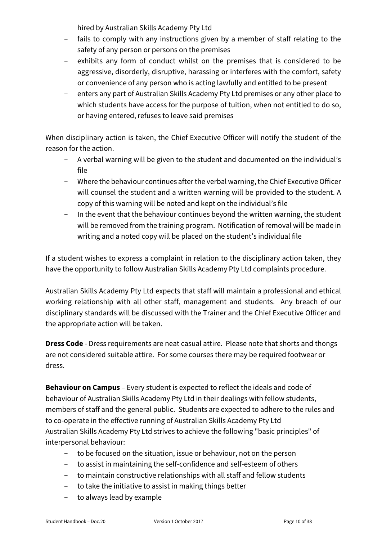hired by Australian Skills Academy Pty Ltd

- fails to comply with any instructions given by a member of staff relating to the safety of any person or persons on the premises
- exhibits any form of conduct whilst on the premises that is considered to be aggressive, disorderly, disruptive, harassing or interferes with the comfort, safety or convenience of any person who is acting lawfully and entitled to be present
- enters any part of Australian Skills Academy Pty Ltd premises or any other place to which students have access for the purpose of tuition, when not entitled to do so, or having entered, refuses to leave said premises

When disciplinary action is taken, the Chief Executive Officer will notify the student of the reason for the action.

- A verbal warning will be given to the student and documented on the individual's file
- Where the behaviour continues after the verbal warning, the Chief Executive Officer will counsel the student and a written warning will be provided to the student. A copy of this warning will be noted and kept on the individual's file
- In the event that the behaviour continues beyond the written warning, the student will be removed from the training program. Notification of removal will be made in writing and a noted copy will be placed on the student's individual file

If a student wishes to express a complaint in relation to the disciplinary action taken, they have the opportunity to follow Australian Skills Academy Pty Ltd complaints procedure.

Australian Skills Academy Pty Ltd expects that staff will maintain a professional and ethical working relationship with all other staff, management and students. Any breach of our disciplinary standards will be discussed with the Trainer and the Chief Executive Officer and the appropriate action will be taken.

**Dress Code** - Dress requirements are neat casual attire. Please note that shorts and thongs are not considered suitable attire. For some courses there may be required footwear or dress.

**Behaviour on Campus** – Every student is expected to reflect the ideals and code of behaviour of Australian Skills Academy Pty Ltd in their dealings with fellow students, members of staff and the general public. Students are expected to adhere to the rules and to co-operate in the effective running of Australian Skills Academy Pty Ltd Australian Skills Academy Pty Ltd strives to achieve the following "basic principles" of interpersonal behaviour:

- to be focused on the situation, issue or behaviour, not on the person
- to assist in maintaining the self-confidence and self-esteem of others
- to maintain constructive relationships with all staff and fellow students
- to take the initiative to assist in making things better
- to always lead by example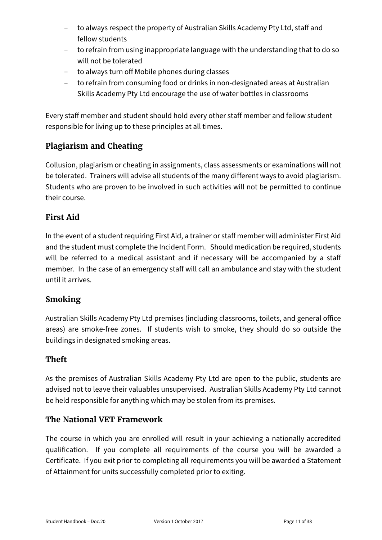- to always respect the property of Australian Skills Academy Pty Ltd, staff and fellow students
- to refrain from using inappropriate language with the understanding that to do so will not be tolerated
- to always turn off Mobile phones during classes
- to refrain from consuming food or drinks in non-designated areas at Australian Skills Academy Pty Ltd encourage the use of water bottles in classrooms

Every staff member and student should hold every other staff member and fellow student responsible for living up to these principles at all times.

# <span id="page-10-0"></span>**Plagiarism and Cheating**

Collusion, plagiarism or cheating in assignments, class assessments or examinations will not be tolerated. Trainers will advise all students of the many different ways to avoid plagiarism. Students who are proven to be involved in such activities will not be permitted to continue their course.

## <span id="page-10-1"></span>**First Aid**

In the event of a student requiring First Aid, a trainer or staff member will administer First Aid and the student must complete the Incident Form. Should medication be required, students will be referred to a medical assistant and if necessary will be accompanied by a staff member. In the case of an emergency staff will call an ambulance and stay with the student until it arrives.

## <span id="page-10-2"></span>**Smoking**

Australian Skills Academy Pty Ltd premises (including classrooms, toilets, and general office areas) are smoke-free zones. If students wish to smoke, they should do so outside the buildings in designated smoking areas.

## <span id="page-10-3"></span>**Theft**

As the premises of Australian Skills Academy Pty Ltd are open to the public, students are advised not to leave their valuables unsupervised. Australian Skills Academy Pty Ltd cannot be held responsible for anything which may be stolen from its premises.

## <span id="page-10-4"></span>**The National VET Framework**

The course in which you are enrolled will result in your achieving a nationally accredited qualification. If you complete all requirements of the course you will be awarded a Certificate. If you exit prior to completing all requirements you will be awarded a Statement of Attainment for units successfully completed prior to exiting.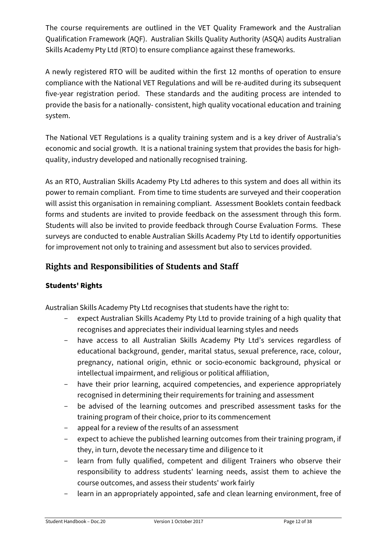The course requirements are outlined in the VET Quality Framework and the Australian Qualification Framework (AQF). Australian Skills Quality Authority (ASQA) audits Australian Skills Academy Pty Ltd (RTO) to ensure compliance against these frameworks.

A newly registered RTO will be audited within the first 12 months of operation to ensure compliance with the National VET Regulations and will be re-audited during its subsequent five-year registration period. These standards and the auditing process are intended to provide the basis for a nationally- consistent, high quality vocational education and training system.

The National VET Regulations is a quality training system and is a key driver of Australia's economic and social growth. It is a national training system that provides the basis for highquality, industry developed and nationally recognised training.

As an RTO, Australian Skills Academy Pty Ltd adheres to this system and does all within its power to remain compliant. From time to time students are surveyed and their cooperation will assist this organisation in remaining compliant. Assessment Booklets contain feedback forms and students are invited to provide feedback on the assessment through this form. Students will also be invited to provide feedback through Course Evaluation Forms. These surveys are conducted to enable Australian Skills Academy Pty Ltd to identify opportunities for improvement not only to training and assessment but also to services provided.

## <span id="page-11-0"></span>**Rights and Responsibilities of Students and Staff**

## **Students' Rights**

Australian Skills Academy Pty Ltd recognises that students have the right to:

- expect Australian Skills Academy Pty Ltd to provide training of a high quality that recognises and appreciates their individual learning styles and needs
- have access to all Australian Skills Academy Pty Ltd's services regardless of educational background, gender, marital status, sexual preference, race, colour, pregnancy, national origin, ethnic or socio-economic background, physical or intellectual impairment, and religious or political affiliation,
- have their prior learning, acquired competencies, and experience appropriately recognised in determining their requirements for training and assessment
- be advised of the learning outcomes and prescribed assessment tasks for the training program of their choice, prior to its commencement
- appeal for a review of the results of an assessment
- expect to achieve the published learning outcomes from their training program, if they, in turn, devote the necessary time and diligence to it
- learn from fully qualified, competent and diligent Trainers who observe their responsibility to address students' learning needs, assist them to achieve the course outcomes, and assess their students' work fairly
- learn in an appropriately appointed, safe and clean learning environment, free of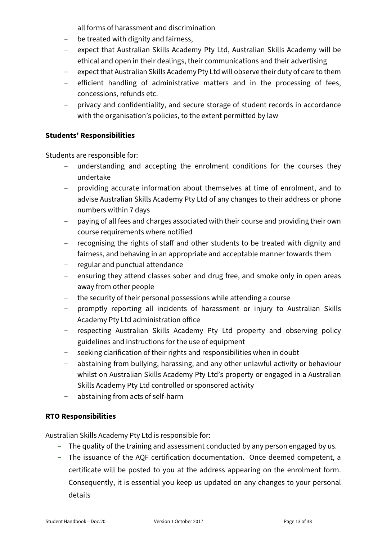all forms of harassment and discrimination

- be treated with dignity and fairness,
- expect that Australian Skills Academy Pty Ltd, Australian Skills Academy will be ethical and open in their dealings, their communications and their advertising
- expect that Australian Skills Academy Pty Ltd will observe their duty of care to them
- efficient handling of administrative matters and in the processing of fees, concessions, refunds etc.
- privacy and confidentiality, and secure storage of student records in accordance with the organisation's policies, to the extent permitted by law

#### **Students' Responsibilities**

Students are responsible for:

- understanding and accepting the enrolment conditions for the courses they undertake
- providing accurate information about themselves at time of enrolment, and to advise Australian Skills Academy Pty Ltd of any changes to their address or phone numbers within 7 days
- paying of all fees and charges associated with their course and providing their own course requirements where notified
- recognising the rights of staff and other students to be treated with dignity and fairness, and behaving in an appropriate and acceptable manner towards them
- regular and punctual attendance
- ensuring they attend classes sober and drug free, and smoke only in open areas away from other people
- the security of their personal possessions while attending a course
- promptly reporting all incidents of harassment or injury to Australian Skills Academy Pty Ltd administration office
- respecting Australian Skills Academy Pty Ltd property and observing policy guidelines and instructions for the use of equipment
- seeking clarification of their rights and responsibilities when in doubt
- abstaining from bullying, harassing, and any other unlawful activity or behaviour whilst on Australian Skills Academy Pty Ltd's property or engaged in a Australian Skills Academy Pty Ltd controlled or sponsored activity
- abstaining from acts of self-harm

## **RTO Responsibilities**

Australian Skills Academy Pty Ltd is responsible for:

- The quality of the training and assessment conducted by any person engaged by us.
- The issuance of the AQF certification documentation. Once deemed competent, a certificate will be posted to you at the address appearing on the enrolment form. Consequently, it is essential you keep us updated on any changes to your personal details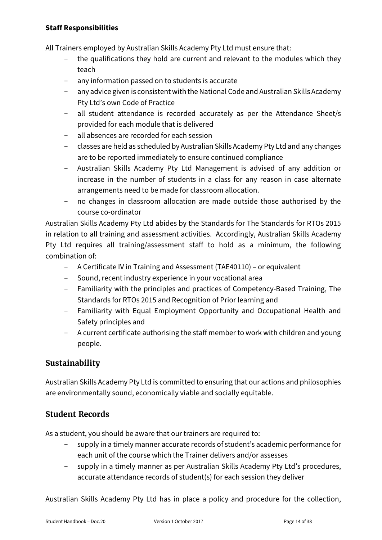#### **Staff Responsibilities**

All Trainers employed by Australian Skills Academy Pty Ltd must ensure that:

- the qualifications they hold are current and relevant to the modules which they teach
- any information passed on to students is accurate
- any advice given is consistent with the National Code and Australian Skills Academy Pty Ltd's own Code of Practice
- all student attendance is recorded accurately as per the Attendance Sheet/s provided for each module that is delivered
- all absences are recorded for each session
- classes are held as scheduled by Australian Skills Academy Pty Ltd and any changes are to be reported immediately to ensure continued compliance
- Australian Skills Academy Pty Ltd Management is advised of any addition or increase in the number of students in a class for any reason in case alternate arrangements need to be made for classroom allocation.
- no changes in classroom allocation are made outside those authorised by the course co-ordinator

Australian Skills Academy Pty Ltd abides by the Standards for The Standards for RTOs 2015 in relation to all training and assessment activities. Accordingly, Australian Skills Academy Pty Ltd requires all training/assessment staff to hold as a minimum, the following combination of:

- A Certificate IV in Training and Assessment (TAE40110) or equivalent
- Sound, recent industry experience in your vocational area
- Familiarity with the principles and practices of Competency-Based Training, The Standards for RTOs 2015 and Recognition of Prior learning and
- Familiarity with Equal Employment Opportunity and Occupational Health and Safety principles and
- A current certificate authorising the staff member to work with children and young people.

## <span id="page-13-0"></span>**Sustainability**

Australian Skills Academy Pty Ltd is committed to ensuring that our actions and philosophies are environmentally sound, economically viable and socially equitable.

## <span id="page-13-1"></span>**Student Records**

As a student, you should be aware that our trainers are required to:

- supply in a timely manner accurate records of student's academic performance for each unit of the course which the Trainer delivers and/or assesses
- supply in a timely manner as per Australian Skills Academy Pty Ltd's procedures, accurate attendance records of student(s) for each session they deliver

Australian Skills Academy Pty Ltd has in place a policy and procedure for the collection,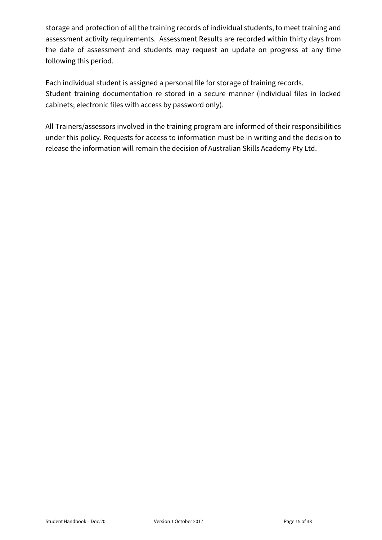storage and protection of all the training records of individual students, to meet training and assessment activity requirements. Assessment Results are recorded within thirty days from the date of assessment and students may request an update on progress at any time following this period.

Each individual student is assigned a personal file for storage of training records. Student training documentation re stored in a secure manner (individual files in locked cabinets; electronic files with access by password only).

All Trainers/assessors involved in the training program are informed of their responsibilities under this policy. Requests for access to information must be in writing and the decision to release the information will remain the decision of Australian Skills Academy Pty Ltd.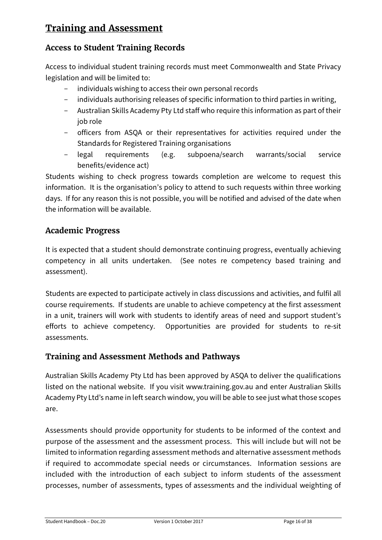# <span id="page-15-0"></span>**Training and Assessment**

## <span id="page-15-1"></span>**Access to Student Training Records**

Access to individual student training records must meet Commonwealth and State Privacy legislation and will be limited to:

- individuals wishing to access their own personal records
- individuals authorising releases of specific information to third parties in writing,
- Australian Skills Academy Pty Ltd staff who require this information as part of their job role
- officers from ASQA or their representatives for activities required under the Standards for Registered Training organisations
- legal requirements (e.g. subpoena/search warrants/social service benefits/evidence act)

Students wishing to check progress towards completion are welcome to request this information. It is the organisation's policy to attend to such requests within three working days. If for any reason this is not possible, you will be notified and advised of the date when the information will be available.

## <span id="page-15-2"></span>**Academic Progress**

It is expected that a student should demonstrate continuing progress, eventually achieving competency in all units undertaken. (See notes re competency based training and assessment).

Students are expected to participate actively in class discussions and activities, and fulfil all course requirements. If students are unable to achieve competency at the first assessment in a unit, trainers will work with students to identify areas of need and support student's efforts to achieve competency. Opportunities are provided for students to re-sit assessments.

## <span id="page-15-3"></span>**Training and Assessment Methods and Pathways**

Australian Skills Academy Pty Ltd has been approved by ASQA to deliver the qualifications listed on the national website. If you visit [www.training.gov.au](http://www.training.gov.au/) and enter Australian Skills Academy Pty Ltd's name in left search window, you will be able to see just what those scopes are.

Assessments should provide opportunity for students to be informed of the context and purpose of the assessment and the assessment process. This will include but will not be limited to information regarding assessment methods and alternative assessment methods if required to accommodate special needs or circumstances. Information sessions are included with the introduction of each subject to inform students of the assessment processes, number of assessments, types of assessments and the individual weighting of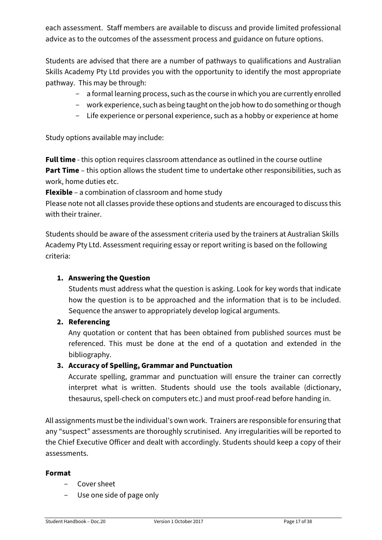each assessment. Staff members are available to discuss and provide limited professional advice as to the outcomes of the assessment process and guidance on future options.

Students are advised that there are a number of pathways to qualifications and Australian Skills Academy Pty Ltd provides you with the opportunity to identify the most appropriate pathway. This may be through:

- a formal learning process, such as the course in which you are currently enrolled
- work experience, such as being taught on the job how to do something or though
- Life experience or personal experience, such as a hobby or experience at home

Study options available may include:

**Full time** - this option requires classroom attendance as outlined in the course outline **Part Time** – this option allows the student time to undertake other responsibilities, such as work, home duties etc.

**Flexible** – a combination of classroom and home study

Please note not all classes provide these options and students are encouraged to discuss this with their trainer.

Students should be aware of the assessment criteria used by the trainers at Australian Skills Academy Pty Ltd. Assessment requiring essay or report writing is based on the following criteria:

#### **1. Answering the Question**

Students must address what the question is asking. Look for key words that indicate how the question is to be approached and the information that is to be included. Sequence the answer to appropriately develop logical arguments.

**2. Referencing**

Any quotation or content that has been obtained from published sources must be referenced. This must be done at the end of a quotation and extended in the bibliography.

#### **3. Accuracy of Spelling, Grammar and Punctuation**

Accurate spelling, grammar and punctuation will ensure the trainer can correctly interpret what is written. Students should use the tools available (dictionary, thesaurus, spell-check on computers etc.) and must proof-read before handing in.

All assignments must be the individual's own work. Trainers are responsible for ensuring that any "suspect" assessments are thoroughly scrutinised. Any irregularities will be reported to the Chief Executive Officer and dealt with accordingly. Students should keep a copy of their assessments.

#### **Format**

- Cover sheet
- Use one side of page only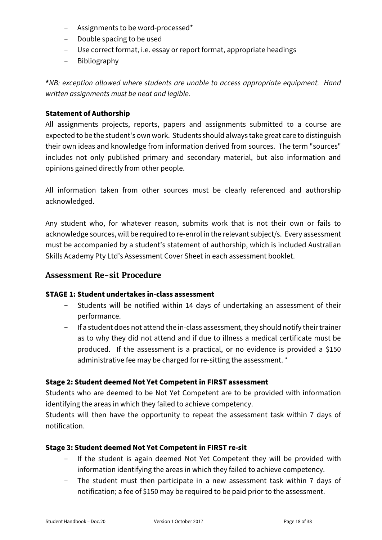- Assignments to be word-processed\*
- Double spacing to be used
- Use correct format, i.e. essay or report format, appropriate headings
- Bibliography

**\****NB: exception allowed where students are unable to access appropriate equipment. Hand written assignments must be neat and legible.*

#### **Statement of Authorship**

All assignments projects, reports, papers and assignments submitted to a course are expected to be the student's own work. Students should always take great care to distinguish their own ideas and knowledge from information derived from sources. The term "sources" includes not only published primary and secondary material, but also information and opinions gained directly from other people.

All information taken from other sources must be clearly referenced and authorship acknowledged.

Any student who, for whatever reason, submits work that is not their own or fails to acknowledge sources, will be required to re-enrol in the relevant subject/s. Every assessment must be accompanied by a student's statement of authorship, which is included Australian Skills Academy Pty Ltd's Assessment Cover Sheet in each assessment booklet.

#### <span id="page-17-0"></span>**Assessment Re-sit Procedure**

#### **STAGE 1: Student undertakes in-class assessment**

- Students will be notified within 14 days of undertaking an assessment of their performance.
- If a student does not attend the in-class assessment, they should notify their trainer as to why they did not attend and if due to illness a medical certificate must be produced. If the assessment is a practical, or no evidence is provided a \$150 administrative fee may be charged for re-sitting the assessment. \*

#### **Stage 2: Student deemed Not Yet Competent in FIRST assessment**

Students who are deemed to be Not Yet Competent are to be provided with information identifying the areas in which they failed to achieve competency.

Students will then have the opportunity to repeat the assessment task within 7 days of notification.

#### **Stage 3: Student deemed Not Yet Competent in FIRST re-sit**

- If the student is again deemed Not Yet Competent they will be provided with information identifying the areas in which they failed to achieve competency.
- The student must then participate in a new assessment task within 7 days of notification; a fee of \$150 may be required to be paid prior to the assessment.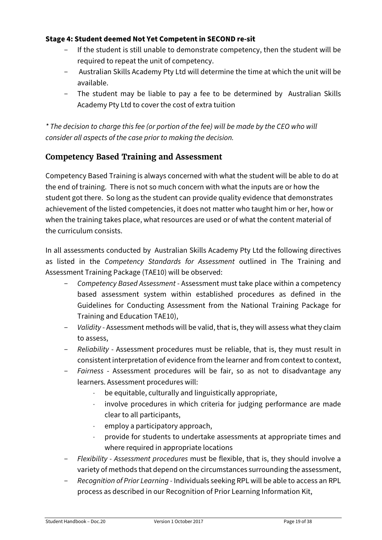#### **Stage 4: Student deemed Not Yet Competent in SECOND re-sit**

- If the student is still unable to demonstrate competency, then the student will be required to repeat the unit of competency.
- Australian Skills Academy Pty Ltd will determine the time at which the unit will be available.
- The student may be liable to pay a fee to be determined by Australian Skills Academy Pty Ltd to cover the cost of extra tuition

*\* The decision to charge this fee (or portion of the fee) will be made by the CEO who will consider all aspects of the case prior to making the decision.*

## <span id="page-18-0"></span>**Competency Based Training and Assessment**

Competency Based Training is always concerned with what the student will be able to do at the end of training. There is not so much concern with what the inputs are or how the student got there. So long as the student can provide quality evidence that demonstrates achievement of the listed competencies, it does not matter who taught him or her, how or when the training takes place, what resources are used or of what the content material of the curriculum consists.

In all assessments conducted by Australian Skills Academy Pty Ltd the following directives as listed in the *Competency Standards for Assessment* outlined in The Training and Assessment Training Package (TAE10) will be observed:

- *Competency Based Assessment* Assessment must take place within a competency based assessment system within established procedures as defined in the Guidelines for Conducting Assessment from the National Training Package for Training and Education TAE10),
- *Validity* Assessment methods will be valid, that is, they will assess what they claim to assess,
- *Reliability* Assessment procedures must be reliable, that is, they must result in consistent interpretation of evidence from the learner and from context to context,
- *Fairness* Assessment procedures will be fair, so as not to disadvantage any learners. Assessment procedures will:
	- ⋅ be equitable, culturally and linguistically appropriate,
	- involve procedures in which criteria for judging performance are made clear to all participants,
	- employ a participatory approach,
	- ⋅ provide for students to undertake assessments at appropriate times and where required in appropriate locations
- *Flexibility - Assessment procedures* must be flexible, that is, they should involve a variety of methods that depend on the circumstances surrounding the assessment,
- *Recognition of Prior Learning -* Individuals seeking RPL will be able to access an RPL process as described in our Recognition of Prior Learning Information Kit,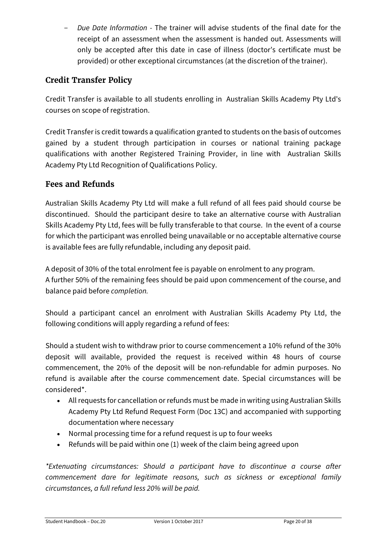*Due Date Information -* The trainer will advise students of the final date for the receipt of an assessment when the assessment is handed out. Assessments will only be accepted after this date in case of illness (doctor's certificate must be provided) or other exceptional circumstances (at the discretion of the trainer).

## <span id="page-19-0"></span>**Credit Transfer Policy**

Credit Transfer is available to all students enrolling in Australian Skills Academy Pty Ltd's courses on scope of registration.

Credit Transfer is credit towards a qualification granted to students on the basis of outcomes gained by a student through participation in courses or national training package qualifications with another Registered Training Provider, in line with Australian Skills Academy Pty Ltd Recognition of Qualifications Policy.

#### <span id="page-19-1"></span>**Fees and Refunds**

Australian Skills Academy Pty Ltd will make a full refund of all fees paid should course be discontinued. Should the participant desire to take an alternative course with Australian Skills Academy Pty Ltd, fees will be fully transferable to that course. In the event of a course for which the participant was enrolled being unavailable or no acceptable alternative course is available fees are fully refundable, including any deposit paid.

A deposit of 30% of the total enrolment fee is payable on enrolment to any program. A further 50% of the remaining fees should be paid upon commencement of the course, and balance paid before *completion.*

Should a participant cancel an enrolment with Australian Skills Academy Pty Ltd, the following conditions will apply regarding a refund of fees:

Should a student wish to withdraw prior to course commencement a 10% refund of the 30% deposit will available, provided the request is received within 48 hours of course commencement, the 20% of the deposit will be non-refundable for admin purposes. No refund is available after the course commencement date. Special circumstances will be considered\*.

- All requests for cancellation or refunds must be made in writing using Australian Skills Academy Pty Ltd Refund Request Form (Doc 13C) and accompanied with supporting documentation where necessary
- Normal processing time for a refund request is up to four weeks
- Refunds will be paid within one (1) week of the claim being agreed upon

*\*Extenuating circumstances: Should a participant have to discontinue a course after commencement dare for legitimate reasons, such as sickness or exceptional family circumstances, a full refund less 20% will be paid.*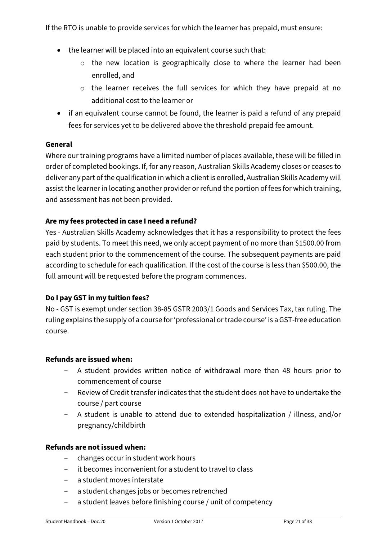If the RTO is unable to provide services for which the learner has prepaid, must ensure:

- the learner will be placed into an equivalent course such that:
	- o the new location is geographically close to where the learner had been enrolled, and
	- o the learner receives the full services for which they have prepaid at no additional cost to the learner or
- if an equivalent course cannot be found, the learner is paid a refund of any prepaid fees for services yet to be delivered above the threshold prepaid fee amount.

#### **General**

Where our training programs have a limited number of places available, these will be filled in order of completed bookings. If, for any reason, Australian Skills Academy closes or ceases to deliver any part of the qualification in which a client is enrolled, Australian Skills Academy will assist the learner in locating another provider or refund the portion of fees for which training, and assessment has not been provided.

#### **Are my fees protected in case I need a refund?**

Yes - Australian Skills Academy acknowledges that it has a responsibility to protect the fees paid by students. To meet this need, we only accept payment of no more than \$1500.00 from each student prior to the commencement of the course. The subsequent payments are paid according to schedule for each qualification. If the cost of the course is less than \$500.00, the full amount will be requested before the program commences.

#### **Do I pay GST in my tuition fees?**

No - GST is exempt under section 38-85 GSTR 2003/1 Goods and Services Tax, tax ruling. The ruling explains the supply of a course for 'professional or trade course' is a GST-free education course.

#### **Refunds are issued when:**

- A student provides written notice of withdrawal more than 48 hours prior to commencement of course
- Review of Credit transfer indicates that the student does not have to undertake the course / part course
- A student is unable to attend due to extended hospitalization / illness, and/or pregnancy/childbirth

#### **Refunds are not issued when:**

- changes occur in student work hours
- it becomes inconvenient for a student to travel to class
- a student moves interstate
- a student changes jobs or becomes retrenched
- a student leaves before finishing course / unit of competency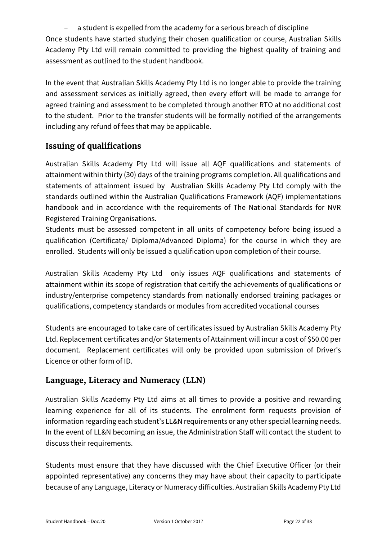a student is expelled from the academy for a serious breach of discipline Once students have started studying their chosen qualification or course, Australian Skills Academy Pty Ltd will remain committed to providing the highest quality of training and assessment as outlined to the student handbook.

In the event that Australian Skills Academy Pty Ltd is no longer able to provide the training and assessment services as initially agreed, then every effort will be made to arrange for agreed training and assessment to be completed through another RTO at no additional cost to the student. Prior to the transfer students will be formally notified of the arrangements including any refund of fees that may be applicable.

## <span id="page-21-0"></span>**Issuing of qualifications**

Australian Skills Academy Pty Ltd will issue all AQF qualifications and statements of attainment within thirty (30) days of the training programs completion. All qualifications and statements of attainment issued by Australian Skills Academy Pty Ltd comply with the standards outlined within the Australian Qualifications Framework (AQF) implementations handbook and in accordance with the requirements of The National Standards for NVR Registered Training Organisations.

Students must be assessed competent in all units of competency before being issued a qualification (Certificate/ Diploma/Advanced Diploma) for the course in which they are enrolled. Students will only be issued a qualification upon completion of their course.

Australian Skills Academy Pty Ltd only issues AQF qualifications and statements of attainment within its scope of registration that certify the achievements of qualifications or industry/enterprise competency standards from nationally endorsed training packages or qualifications, competency standards or modules from accredited vocational courses

Students are encouraged to take care of certificates issued by Australian Skills Academy Pty Ltd. Replacement certificates and/or Statements of Attainment will incur a cost of \$50.00 per document. Replacement certificates will only be provided upon submission of Driver's Licence or other form of ID.

## <span id="page-21-1"></span>**Language, Literacy and Numeracy (LLN)**

Australian Skills Academy Pty Ltd aims at all times to provide a positive and rewarding learning experience for all of its students. The enrolment form requests provision of information regarding each student's LL&N requirements or any other special learning needs. In the event of LL&N becoming an issue, the Administration Staff will contact the student to discuss their requirements.

Students must ensure that they have discussed with the Chief Executive Officer (or their appointed representative) any concerns they may have about their capacity to participate because of any Language, Literacy or Numeracy difficulties. Australian Skills Academy Pty Ltd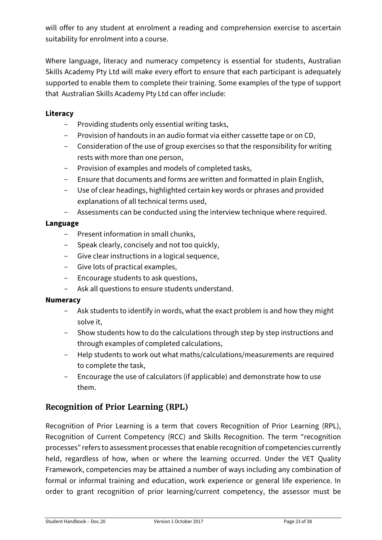will offer to any student at enrolment a reading and comprehension exercise to ascertain suitability for enrolment into a course.

Where language, literacy and numeracy competency is essential for students, Australian Skills Academy Pty Ltd will make every effort to ensure that each participant is adequately supported to enable them to complete their training. Some examples of the type of support that Australian Skills Academy Pty Ltd can offer include:

#### **Literacy**

- Providing students only essential writing tasks,
- Provision of handouts in an audio format via either cassette tape or on CD,
- Consideration of the use of group exercises so that the responsibility for writing rests with more than one person,
- Provision of examples and models of completed tasks,
- Ensure that documents and forms are written and formatted in plain English,
- Use of clear headings, highlighted certain key words or phrases and provided explanations of all technical terms used,
- Assessments can be conducted using the interview technique where required.

#### **Language**

- Present information in small chunks,
- Speak clearly, concisely and not too quickly,
- Give clear instructions in a logical sequence,
- Give lots of practical examples,
- Encourage students to ask questions,
- Ask all questions to ensure students understand.

#### **Numeracy**

- Ask students to identify in words, what the exact problem is and how they might solve it,
- Show students how to do the calculations through step by step instructions and through examples of completed calculations,
- Help students to work out what maths/calculations/measurements are required to complete the task,
- Encourage the use of calculators (if applicable) and demonstrate how to use them.

## <span id="page-22-0"></span>**Recognition of Prior Learning (RPL)**

Recognition of Prior Learning is a term that covers Recognition of Prior Learning (RPL), Recognition of Current Competency (RCC) and Skills Recognition. The term "recognition processes" refers to assessment processes that enable recognition of competencies currently held, regardless of how, when or where the learning occurred. Under the VET Quality Framework, competencies may be attained a number of ways including any combination of formal or informal training and education, work experience or general life experience. In order to grant recognition of prior learning/current competency, the assessor must be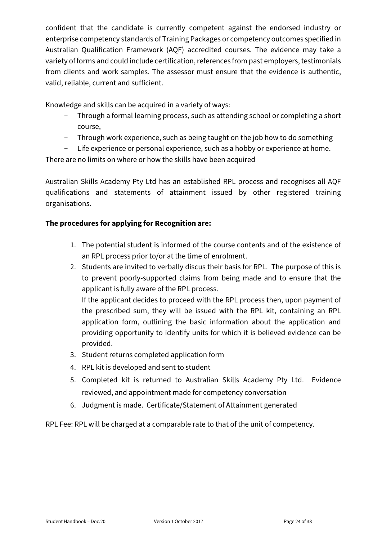confident that the candidate is currently competent against the endorsed industry or enterprise competency standards of Training Packages or competency outcomes specified in Australian Qualification Framework (AQF) accredited courses. The evidence may take a variety of forms and could include certification, references from past employers, testimonials from clients and work samples. The assessor must ensure that the evidence is authentic, valid, reliable, current and sufficient.

Knowledge and skills can be acquired in a variety of ways:

- Through a formal learning process, such as attending school or completing a short course,
- Through work experience, such as being taught on the job how to do something
- Life experience or personal experience, such as a hobby or experience at home.

There are no limits on where or how the skills have been acquired

Australian Skills Academy Pty Ltd has an established RPL process and recognises all AQF qualifications and statements of attainment issued by other registered training organisations.

#### **The procedures for applying for Recognition are:**

- 1. The potential student is informed of the course contents and of the existence of an RPL process prior to/or at the time of enrolment.
- 2. Students are invited to verbally discus their basis for RPL. The purpose of this is to prevent poorly-supported claims from being made and to ensure that the applicant is fully aware of the RPL process. If the applicant decides to proceed with the RPL process then, upon payment of the prescribed sum, they will be issued with the RPL kit, containing an RPL application form, outlining the basic information about the application and providing opportunity to identify units for which it is believed evidence can be provided.
- 3. Student returns completed application form
- 4. RPL kit is developed and sent to student
- 5. Completed kit is returned to Australian Skills Academy Pty Ltd. Evidence reviewed, and appointment made for competency conversation
- 6. Judgment is made. Certificate/Statement of Attainment generated

RPL Fee: RPL will be charged at a comparable rate to that of the unit of competency.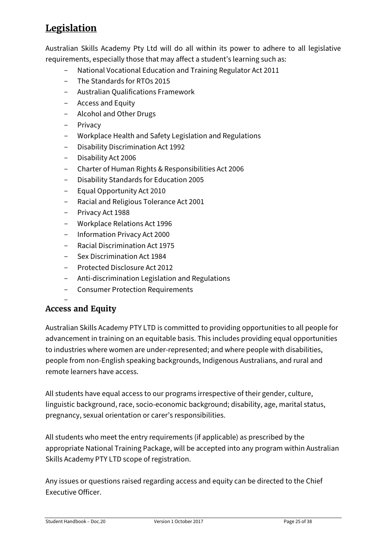# <span id="page-24-0"></span>**Legislation**

Australian Skills Academy Pty Ltd will do all within its power to adhere to all legislative requirements, especially those that may affect a student's learning such as:

- National Vocational Education and Training Regulator Act 2011
- The Standards for RTOs 2015
- Australian Qualifications Framework
- Access and Equity
- Alcohol and Other Drugs
- Privacy
- Workplace Health and Safety Legislation and Regulations
- Disability Discrimination Act 1992
- Disability Act 2006
- Charter of Human Rights & Responsibilities Act 2006
- Disability Standards for Education 2005
- Equal Opportunity Act 2010
- Racial and Religious Tolerance Act 2001
- Privacy Act 1988
- Workplace Relations Act 1996
- Information Privacy Act 2000
- Racial Discrimination Act 1975
- Sex Discrimination Act 1984
- Protected Disclosure Act 2012
- Anti-discrimination Legislation and Regulations
- Consumer Protection Requirements

<span id="page-24-1"></span>—<br>— **Access and Equity**

Australian Skills Academy PTY LTD is committed to providing opportunities to all people for advancement in training on an equitable basis. This includes providing equal opportunities to industries where women are under-represented; and where people with disabilities, people from non-English speaking backgrounds, Indigenous Australians, and rural and remote learners have access.

All students have equal access to our programs irrespective of their gender, culture, linguistic background, race, socio-economic background; disability, age, marital status, pregnancy, sexual orientation or carer's responsibilities.

All students who meet the entry requirements (if applicable) as prescribed by the appropriate National Training Package, will be accepted into any program within Australian Skills Academy PTY LTD scope of registration.

Any issues or questions raised regarding access and equity can be directed to the Chief Executive Officer.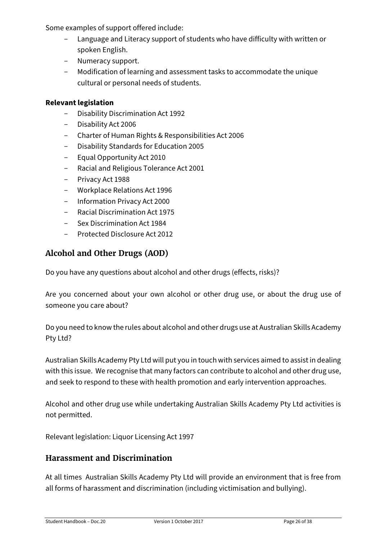Some examples of support offered include:

- Language and Literacy support of students who have difficulty with written or spoken English.
- Numeracy support.
- Modification of learning and assessment tasks to accommodate the unique cultural or personal needs of students.

#### **Relevant legislation**

- Disability Discrimination Act 1992
- Disability Act 2006
- Charter of Human Rights & Responsibilities Act 2006
- Disability Standards for Education 2005
- Equal Opportunity Act 2010
- Racial and Religious Tolerance Act 2001
- Privacy Act 1988
- Workplace Relations Act 1996
- Information Privacy Act 2000
- Racial Discrimination Act 1975
- Sex Discrimination Act 1984
- Protected Disclosure Act 2012

## <span id="page-25-0"></span>**Alcohol and Other Drugs (AOD)**

Do you have any questions about alcohol and other drugs (effects, risks)?

Are you concerned about your own alcohol or other drug use, or about the drug use of someone you care about?

Do you need to know the rules about alcohol and other drugs use at Australian Skills Academy Pty Ltd?

Australian Skills Academy Pty Ltd will put you in touch with services aimed to assist in dealing with this issue. We recognise that many factors can contribute to alcohol and other drug use, and seek to respond to these with health promotion and early intervention approaches.

Alcohol and other drug use while undertaking Australian Skills Academy Pty Ltd activities is not permitted.

Relevant legislation: Liquor Licensing Act 1997

## <span id="page-25-1"></span>**Harassment and Discrimination**

At all times Australian Skills Academy Pty Ltd will provide an environment that is free from all forms of harassment and discrimination (including victimisation and bullying).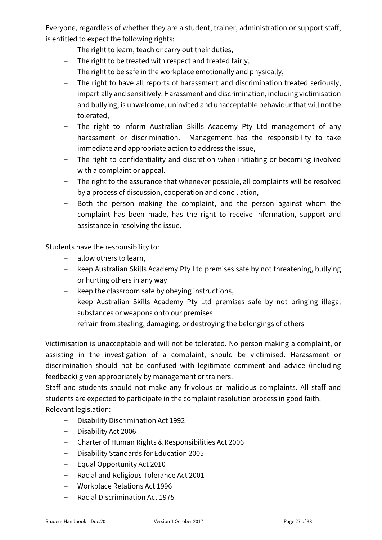Everyone, regardless of whether they are a student, trainer, administration or support staff, is entitled to expect the following rights:

- The right to learn, teach or carry out their duties,
- The right to be treated with respect and treated fairly,
- The right to be safe in the workplace emotionally and physically,
- The right to have all reports of harassment and discrimination treated seriously, impartially and sensitively. Harassment and discrimination, including victimisation and bullying, is unwelcome, uninvited and unacceptable behaviour that will not be tolerated,
- The right to inform Australian Skills Academy Pty Ltd management of any harassment or discrimination. Management has the responsibility to take immediate and appropriate action to address the issue,
- The right to confidentiality and discretion when initiating or becoming involved with a complaint or appeal.
- The right to the assurance that whenever possible, all complaints will be resolved by a process of discussion, cooperation and conciliation,
- Both the person making the complaint, and the person against whom the complaint has been made, has the right to receive information, support and assistance in resolving the issue.

Students have the responsibility to:

- allow others to learn,
- keep Australian Skills Academy Pty Ltd premises safe by not threatening, bullying or hurting others in any way
- keep the classroom safe by obeying instructions,
- keep Australian Skills Academy Pty Ltd premises safe by not bringing illegal substances or weapons onto our premises
- refrain from stealing, damaging, or destroying the belongings of others

Victimisation is unacceptable and will not be tolerated. No person making a complaint, or assisting in the investigation of a complaint, should be victimised. Harassment or discrimination should not be confused with legitimate comment and advice (including feedback) given appropriately by management or trainers.

Staff and students should not make any frivolous or malicious complaints. All staff and students are expected to participate in the complaint resolution process in good faith.

Relevant legislation:

- Disability Discrimination Act 1992
- Disability Act 2006
- Charter of Human Rights & Responsibilities Act 2006
- Disability Standards for Education 2005
- Equal Opportunity Act 2010
- Racial and Religious Tolerance Act 2001
- Workplace Relations Act 1996
- Racial Discrimination Act 1975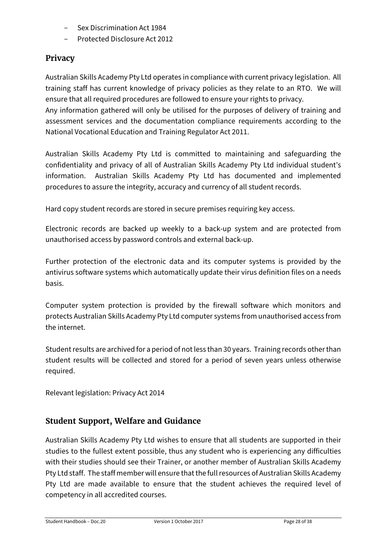- Sex Discrimination Act 1984
- Protected Disclosure Act 2012

## <span id="page-27-0"></span>**Privacy**

Australian Skills Academy Pty Ltd operates in compliance with current privacy legislation. All training staff has current knowledge of privacy policies as they relate to an RTO. We will ensure that all required procedures are followed to ensure your rights to privacy. Any information gathered will only be utilised for the purposes of delivery of training and assessment services and the documentation compliance requirements according to the National Vocational Education and Training Regulator Act 2011.

Australian Skills Academy Pty Ltd is committed to maintaining and safeguarding the confidentiality and privacy of all of Australian Skills Academy Pty Ltd individual student's information. Australian Skills Academy Pty Ltd has documented and implemented procedures to assure the integrity, accuracy and currency of all student records.

Hard copy student records are stored in secure premises requiring key access.

Electronic records are backed up weekly to a back-up system and are protected from unauthorised access by password controls and external back-up.

Further protection of the electronic data and its computer systems is provided by the antivirus software systems which automatically update their virus definition files on a needs basis.

Computer system protection is provided by the firewall software which monitors and protects Australian Skills Academy Pty Ltd computer systems from unauthorised access from the internet.

Student results are archived for a period of not less than 30 years. Training records other than student results will be collected and stored for a period of seven years unless otherwise required.

Relevant legislation: Privacy Act 2014

## <span id="page-27-1"></span>**Student Support, Welfare and Guidance**

Australian Skills Academy Pty Ltd wishes to ensure that all students are supported in their studies to the fullest extent possible, thus any student who is experiencing any difficulties with their studies should see their Trainer, or another member of Australian Skills Academy Pty Ltd staff. The staff member will ensure that the full resources of Australian Skills Academy Pty Ltd are made available to ensure that the student achieves the required level of competency in all accredited courses.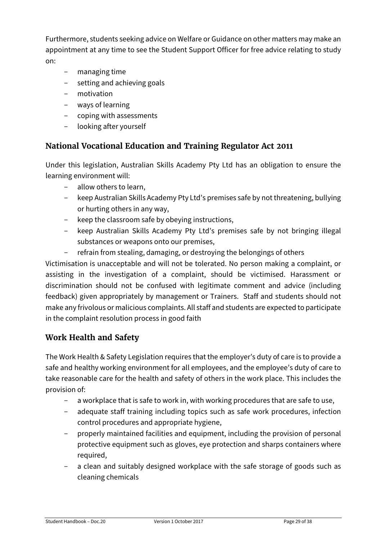Furthermore, students seeking advice on Welfare or Guidance on other matters may make an appointment at any time to see the Student Support Officer for free advice relating to study on:

- managing time
- setting and achieving goals
- motivation
- ways of learning
- coping with assessments
- looking after yourself

## <span id="page-28-0"></span>**National Vocational Education and Training Regulator Act 2011**

Under this legislation, Australian Skills Academy Pty Ltd has an obligation to ensure the learning environment will:

- allow others to learn,
- keep Australian Skills Academy Pty Ltd's premises safe by not threatening, bullying or hurting others in any way,
- keep the classroom safe by obeying instructions,
- keep Australian Skills Academy Pty Ltd's premises safe by not bringing illegal substances or weapons onto our premises,
- refrain from stealing, damaging, or destroying the belongings of others

Victimisation is unacceptable and will not be tolerated. No person making a complaint, or assisting in the investigation of a complaint, should be victimised. Harassment or discrimination should not be confused with legitimate comment and advice (including feedback) given appropriately by management or Trainers. Staff and students should not make any frivolous or malicious complaints. All staff and students are expected to participate in the complaint resolution process in good faith

## <span id="page-28-1"></span>**Work Health and Safety**

The Work Health & Safety Legislation requires that the employer's duty of care is to provide a safe and healthy working environment for all employees, and the employee's duty of care to take reasonable care for the health and safety of others in the work place. This includes the provision of:

- a workplace that is safe to work in, with working procedures that are safe to use,
- adequate staff training including topics such as safe work procedures, infection control procedures and appropriate hygiene,
- properly maintained facilities and equipment, including the provision of personal protective equipment such as gloves, eye protection and sharps containers where required,
- a clean and suitably designed workplace with the safe storage of goods such as cleaning chemicals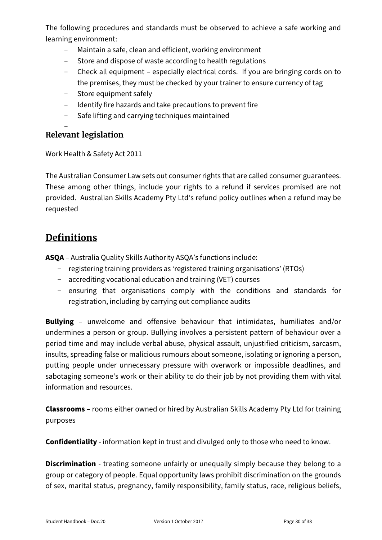The following procedures and standards must be observed to achieve a safe working and learning environment:

- Maintain a safe, clean and efficient, working environment
- Store and dispose of waste according to health regulations
- Check all equipment especially electrical cords. If you are bringing cords on to the premises, they must be checked by your trainer to ensure currency of tag
- Store equipment safely
- Identify fire hazards and take precautions to prevent fire
- Safe lifting and carrying techniques maintained

#### <span id="page-29-0"></span> $\overline{\phantom{0}}$ **Relevant legislation**

Work Health & Safety Act 2011

The Australian Consumer Law sets out consumer rights that are called consumer guarantees. These among other things, include your rights to a refund if services promised are not provided. Australian Skills Academy Pty Ltd's refund policy outlines when a refund may be requested

# <span id="page-29-1"></span>**Definitions**

**ASQA** – Australia Quality Skills Authority ASQA's functions include:

- registering training providers as 'registered training organisations' (RTOs)
- accrediting vocational education and training (VET) courses
- ensuring that organisations comply with the conditions and standards for registration, including by carrying out compliance audits

**Bullying** – unwelcome and offensive behaviour that intimidates, humiliates and/or undermines a person or group. Bullying involves a persistent pattern of behaviour over a period time and may include verbal abuse, physical assault, unjustified criticism, sarcasm, insults, spreading false or malicious rumours about someone, isolating or ignoring a person, putting people under unnecessary pressure with overwork or impossible deadlines, and sabotaging someone's work or their ability to do their job by not providing them with vital information and resources.

**Classrooms** – rooms either owned or hired by Australian Skills Academy Pty Ltd for training purposes

**Confidentiality** - information kept in trust and divulged only to those who need to know.

**Discrimination** - treating someone unfairly or unequally simply because they belong to a group or category of people. Equal opportunity laws prohibit discrimination on the grounds of sex, marital status, pregnancy, family responsibility, family status, race, religious beliefs,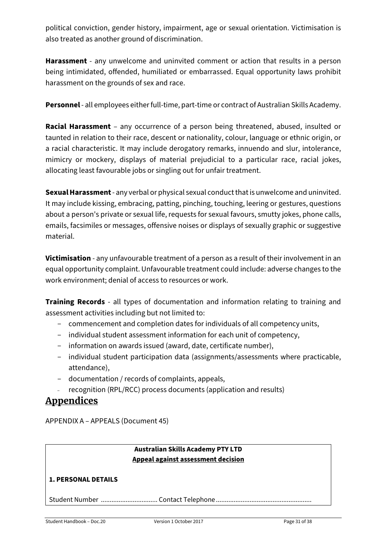political conviction, gender history, impairment, age or sexual orientation. Victimisation is also treated as another ground of discrimination.

**Harassment** - any unwelcome and uninvited comment or action that results in a person being intimidated, offended, humiliated or embarrassed. Equal opportunity laws prohibit harassment on the grounds of sex and race.

**Personnel** - all employees either full-time, part-time or contract of Australian Skills Academy.

**Racial Harassment** – any occurrence of a person being threatened, abused, insulted or taunted in relation to their race, descent or nationality, colour, language or ethnic origin, or a racial characteristic. It may include derogatory remarks, innuendo and slur, intolerance, mimicry or mockery, displays of material prejudicial to a particular race, racial jokes, allocating least favourable jobs or singling out for unfair treatment.

**Sexual Harassment**- any verbal or physical sexual conduct that is unwelcome and uninvited. It may include kissing, embracing, patting, pinching, touching, leering or gestures, questions about a person's private or sexual life, requests for sexual favours, smutty jokes, phone calls, emails, facsimiles or messages, offensive noises or displays of sexually graphic or suggestive material.

**Victimisation** - any unfavourable treatment of a person as a result of their involvement in an equal opportunity complaint. Unfavourable treatment could include: adverse changes to the work environment; denial of access to resources or work.

**Training Records** - all types of documentation and information relating to training and assessment activities including but not limited to:

- commencement and completion dates for individuals of all competency units,
- individual student assessment information for each unit of competency,
- information on awards issued (award, date, certificate number),
- individual student participation data (assignments/assessments where practicable, attendance),
- documentation / records of complaints, appeals,
- recognition (RPL/RCC) process documents (application and results)

## <span id="page-30-0"></span>**Appendices**

APPENDIX A – APPEALS (Document 45)

#### **Australian Skills Academy PTY LTD Appeal against assessment decision**

#### **1. PERSONAL DETAILS**

Student Number ................................ Contact Telephone ......................................................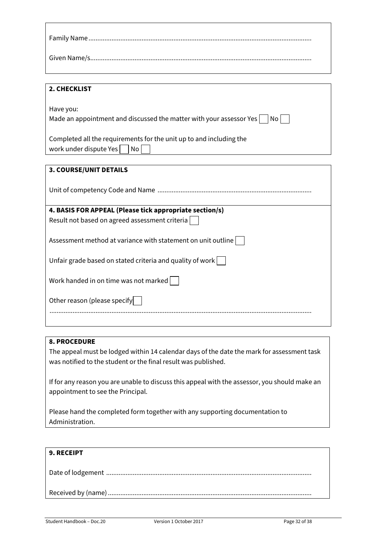| 2. CHECKLIST                                                                 |
|------------------------------------------------------------------------------|
|                                                                              |
| Have you:                                                                    |
| Made an appointment and discussed the matter with your assessor Yes<br>$N$ o |
|                                                                              |
| Completed all the requirements for the unit up to and including the          |
| work under dispute Yes  <br>No                                               |

| <b>3. COURSE/UNIT DETAILS</b>                                |
|--------------------------------------------------------------|
|                                                              |
| 4. BASIS FOR APPEAL (Please tick appropriate section/s)      |
| Result not based on agreed assessment criteria               |
|                                                              |
| Assessment method at variance with statement on unit outline |
|                                                              |
| Unfair grade based on stated criteria and quality of work    |
| Work handed in on time was not marked                        |
|                                                              |
|                                                              |

#### **8. PROCEDURE**

Other reason (please specify

The appeal must be lodged within 14 calendar days of the date the mark for assessment task was notified to the student or the final result was published.

....................................................................................................................................................

If for any reason you are unable to discuss this appeal with the assessor, you should make an appointment to see the Principal.

Please hand the completed form together with any supporting documentation to Administration.

| <b>9. RECEIPT</b> |
|-------------------|
|                   |
|                   |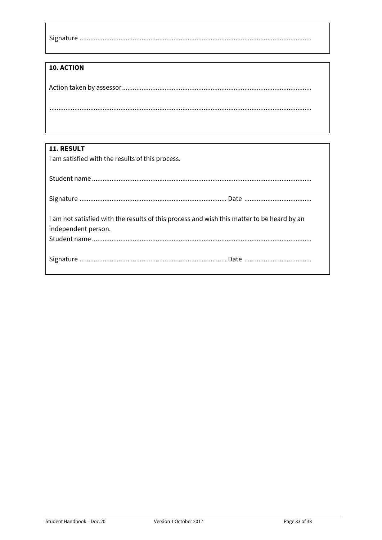#### 10. ACTION

| <b>11. RESULT</b>                                                                          |
|--------------------------------------------------------------------------------------------|
| I am satisfied with the results of this process.                                           |
|                                                                                            |
|                                                                                            |
|                                                                                            |
|                                                                                            |
|                                                                                            |
| I am not satisfied with the results of this process and wish this matter to be heard by an |
| independent person.                                                                        |
|                                                                                            |
|                                                                                            |
|                                                                                            |
|                                                                                            |
|                                                                                            |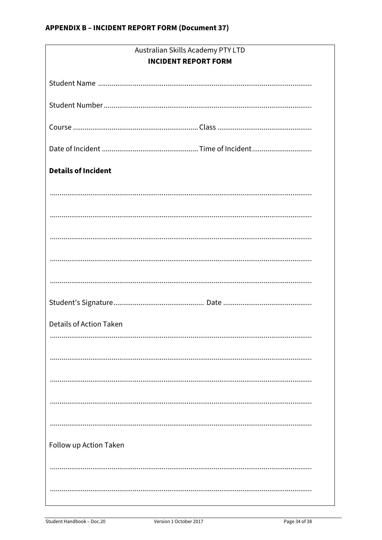| Australian Skills Academy PTY LTD |  |
|-----------------------------------|--|
| <b>INCIDENT REPORT FORM</b>       |  |
|                                   |  |
|                                   |  |
|                                   |  |
|                                   |  |
| <b>Details of Incident</b>        |  |
|                                   |  |
|                                   |  |
|                                   |  |
|                                   |  |
|                                   |  |
|                                   |  |
|                                   |  |
| <b>Details of Action Taken</b>    |  |
|                                   |  |
|                                   |  |
|                                   |  |
|                                   |  |
|                                   |  |
| Follow up Action Taken            |  |
|                                   |  |
|                                   |  |
|                                   |  |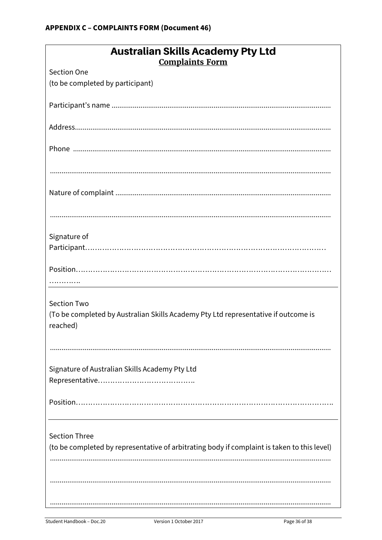| <b>Australian Skills Academy Pty Ltd</b><br><b>Complaints Form</b>                             |
|------------------------------------------------------------------------------------------------|
| <b>Section One</b>                                                                             |
| (to be completed by participant)                                                               |
|                                                                                                |
|                                                                                                |
|                                                                                                |
|                                                                                                |
|                                                                                                |
|                                                                                                |
| Signature of                                                                                   |
|                                                                                                |
|                                                                                                |
|                                                                                                |
| <b>Section Two</b>                                                                             |
| (To be completed by Australian Skills Academy Pty Ltd representative if outcome is<br>reached) |
|                                                                                                |
| Signature of Australian Skills Academy Pty Ltd                                                 |
|                                                                                                |
|                                                                                                |
|                                                                                                |
| <b>Section Three</b>                                                                           |
| (to be completed by representative of arbitrating body if complaint is taken to this level)    |
|                                                                                                |
|                                                                                                |
|                                                                                                |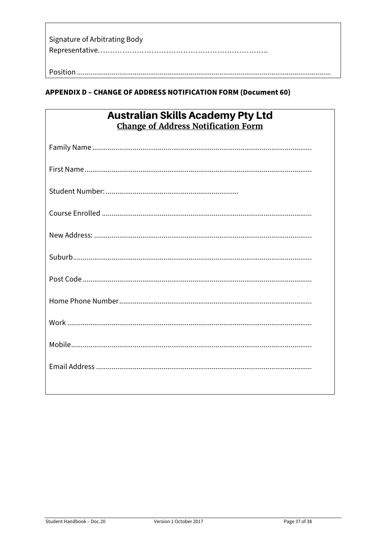| Signature of Arbitrating Body |
|-------------------------------|
|                               |
|                               |
|                               |

## **APPENDIX D - CHANGE OF ADDRESS NOTIFICATION FORM (Document 60)**

| <b>Australian Skills Academy Pty Ltd</b>   |
|--------------------------------------------|
| <b>Change of Address Notification Form</b> |